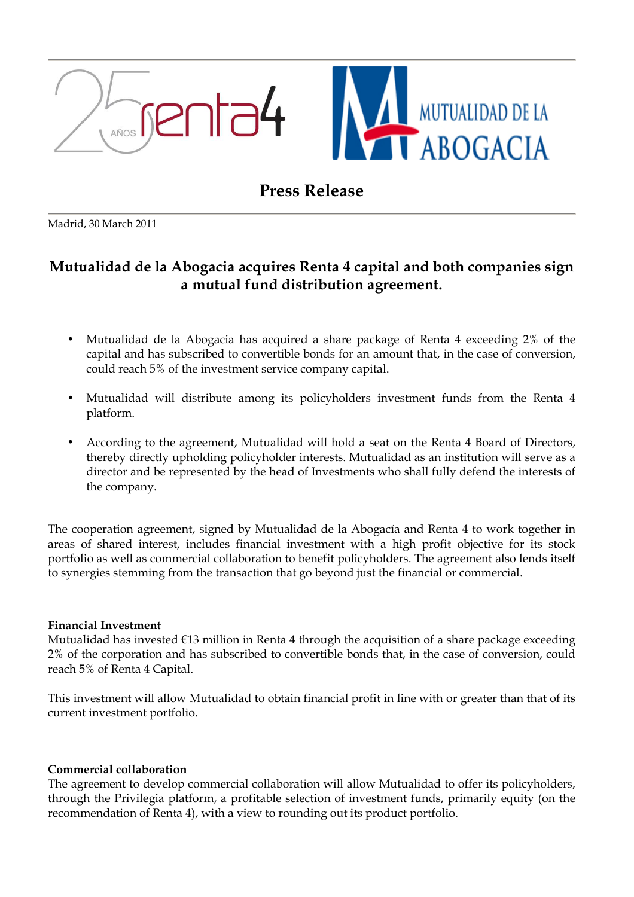



# Press Release

Madrid, 30 March 2011

## Mutualidad de la Abogacia acquires Renta 4 capital and both companies sign a mutual fund distribution agreement.

- Mutualidad de la Abogacia has acquired a share package of Renta 4 exceeding 2% of the capital and has subscribed to convertible bonds for an amount that, in the case of conversion, could reach 5% of the investment service company capital.
- Mutualidad will distribute among its policyholders investment funds from the Renta 4 platform.
- According to the agreement, Mutualidad will hold a seat on the Renta 4 Board of Directors, thereby directly upholding policyholder interests. Mutualidad as an institution will serve as a director and be represented by the head of Investments who shall fully defend the interests of the company.

The cooperation agreement, signed by Mutualidad de la Abogacía and Renta 4 to work together in areas of shared interest, includes financial investment with a high profit objective for its stock portfolio as well as commercial collaboration to benefit policyholders. The agreement also lends itself to synergies stemming from the transaction that go beyond just the financial or commercial.

## Financial Investment

Mutualidad has invested €13 million in Renta 4 through the acquisition of a share package exceeding 2% of the corporation and has subscribed to convertible bonds that, in the case of conversion, could reach 5% of Renta 4 Capital.

This investment will allow Mutualidad to obtain financial profit in line with or greater than that of its current investment portfolio.

## Commercial collaboration

The agreement to develop commercial collaboration will allow Mutualidad to offer its policyholders, through the Privilegia platform, a profitable selection of investment funds, primarily equity (on the recommendation of Renta 4), with a view to rounding out its product portfolio.